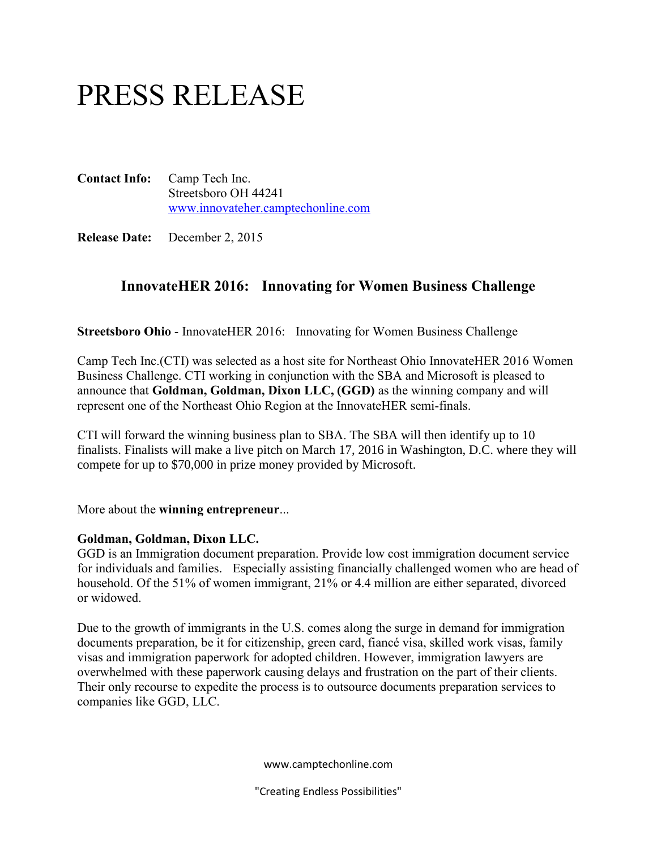# PRESS RELEASE

**Contact Info:** Camp Tech Inc. Streetsboro OH 44241 [www.innovateher.camptechonline.com](http://www.tinyurl.com/innovateher)

**Release Date:** December 2, 2015

## **InnovateHER 2016: Innovating for Women Business Challenge**

**Streetsboro Ohio** - InnovateHER 2016: Innovating for Women Business Challenge

Camp Tech Inc.(CTI) was selected as a host site for Northeast Ohio InnovateHER 2016 Women Business Challenge. CTI working in conjunction with the SBA and Microsoft is pleased to announce that **Goldman, Goldman, Dixon LLC, (GGD)** as the winning company and will represent one of the Northeast Ohio Region at the InnovateHER semi-finals.

CTI will forward the winning business plan to SBA. The SBA will then identify up to 10 finalists. Finalists will make a live pitch on March 17, 2016 in Washington, D.C. where they will compete for up to \$70,000 in prize money provided by Microsoft.

More about the **winning entrepreneur**...

#### **Goldman, Goldman, Dixon LLC.**

GGD is an Immigration document preparation. Provide low cost immigration document service for individuals and families. Especially assisting financially challenged women who are head of household. Of the 51% of women immigrant, 21% or 4.4 million are either separated, divorced or widowed.

Due to the growth of immigrants in the U.S. comes along the surge in demand for immigration documents preparation, be it for citizenship, green card, fiancé visa, skilled work visas, family visas and immigration paperwork for adopted children. However, immigration lawyers are overwhelmed with these paperwork causing delays and frustration on the part of their clients. Their only recourse to expedite the process is to outsource documents preparation services to companies like GGD, LLC.

www.camptechonline.com

"Creating Endless Possibilities"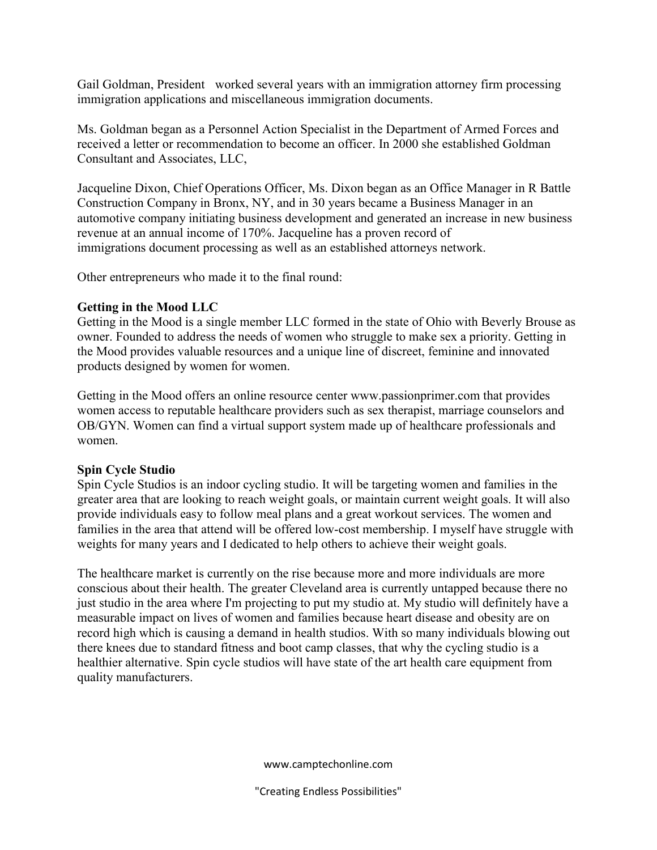Gail Goldman, President worked several years with an immigration attorney firm processing immigration applications and miscellaneous immigration documents.

Ms. Goldman began as a Personnel Action Specialist in the Department of Armed Forces and received a letter or recommendation to become an officer. In 2000 she established Goldman Consultant and Associates, LLC,

Jacqueline Dixon, Chief Operations Officer, Ms. Dixon began as an Office Manager in R Battle Construction Company in Bronx, NY, and in 30 years became a Business Manager in an automotive company initiating business development and generated an increase in new business revenue at an annual income of 170%. Jacqueline has a proven record of immigrations document processing as well as an established attorneys network.

Other entrepreneurs who made it to the final round:

#### **Getting in the Mood LLC**

Getting in the Mood is a single member LLC formed in the state of Ohio with Beverly Brouse as owner. Founded to address the needs of women who struggle to make sex a priority. Getting in the Mood provides valuable resources and a unique line of discreet, feminine and innovated products designed by women for women.

Getting in the Mood offers an online resource center www.passionprimer.com that provides women access to reputable healthcare providers such as sex therapist, marriage counselors and OB/GYN. Women can find a virtual support system made up of healthcare professionals and women.

### **Spin Cycle Studio**

Spin Cycle Studios is an indoor cycling studio. It will be targeting women and families in the greater area that are looking to reach weight goals, or maintain current weight goals. It will also provide individuals easy to follow meal plans and a great workout services. The women and families in the area that attend will be offered low-cost membership. I myself have struggle with weights for many years and I dedicated to help others to achieve their weight goals.

The healthcare market is currently on the rise because more and more individuals are more conscious about their health. The greater Cleveland area is currently untapped because there no just studio in the area where I'm projecting to put my studio at. My studio will definitely have a measurable impact on lives of women and families because heart disease and obesity are on record high which is causing a demand in health studios. With so many individuals blowing out there knees due to standard fitness and boot camp classes, that why the cycling studio is a healthier alternative. Spin cycle studios will have state of the art health care equipment from quality manufacturers.

www.camptechonline.com